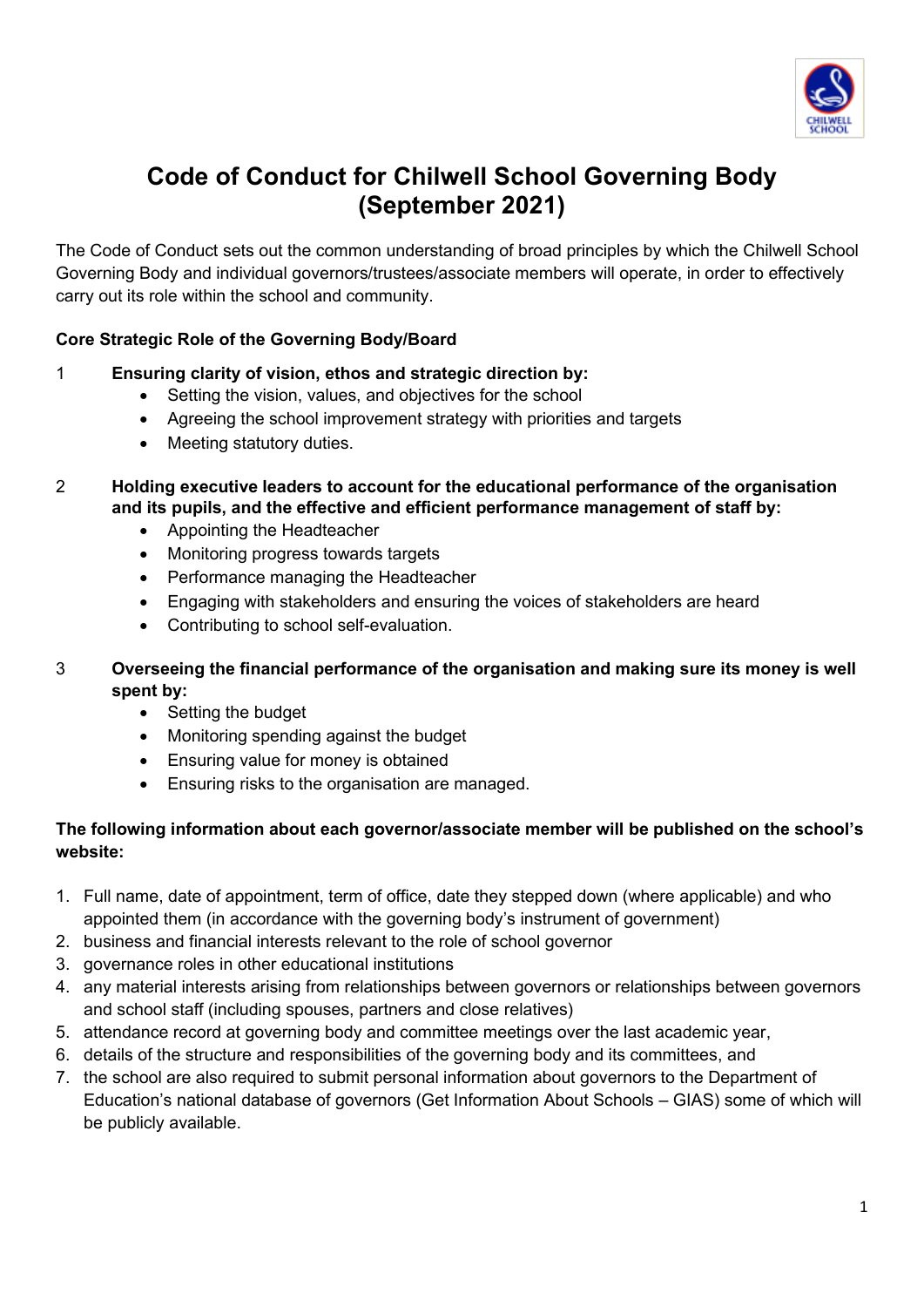

# **Code of Conduct for Chilwell School Governing Body (September 2021)**

The Code of Conduct sets out the common understanding of broad principles by which the Chilwell School Governing Body and individual governors/trustees/associate members will operate, in order to effectively carry out its role within the school and community.

## **Core Strategic Role of the Governing Body/Board**

#### 1 **Ensuring clarity of vision, ethos and strategic direction by:**

- Setting the vision, values, and objectives for the school
- Agreeing the school improvement strategy with priorities and targets
- Meeting statutory duties.
- 2 **Holding executive leaders to account for the educational performance of the organisation and its pupils, and the effective and efficient performance management of staff by:**
	- Appointing the Headteacher
	- Monitoring progress towards targets
	- Performance managing the Headteacher
	- Engaging with stakeholders and ensuring the voices of stakeholders are heard
	- Contributing to school self-evaluation.
- 3 **Overseeing the financial performance of the organisation and making sure its money is well spent by:**
	- Setting the budget
	- Monitoring spending against the budget
	- Ensuring value for money is obtained
	- Ensuring risks to the organisation are managed.

## **The following information about each governor/associate member will be published on the school's website:**

- 1. Full name, date of appointment, term of office, date they stepped down (where applicable) and who appointed them (in accordance with the governing body's instrument of government)
- 2. business and financial interests relevant to the role of school governor
- 3. governance roles in other educational institutions
- 4. any material interests arising from relationships between governors or relationships between governors and school staff (including spouses, partners and close relatives)
- 5. attendance record at governing body and committee meetings over the last academic year,
- 6. details of the structure and responsibilities of the governing body and its committees, and
- 7. the school are also required to submit personal information about governors to the Department of Education's national database of governors (Get Information About Schools – GIAS) some of which will be publicly available.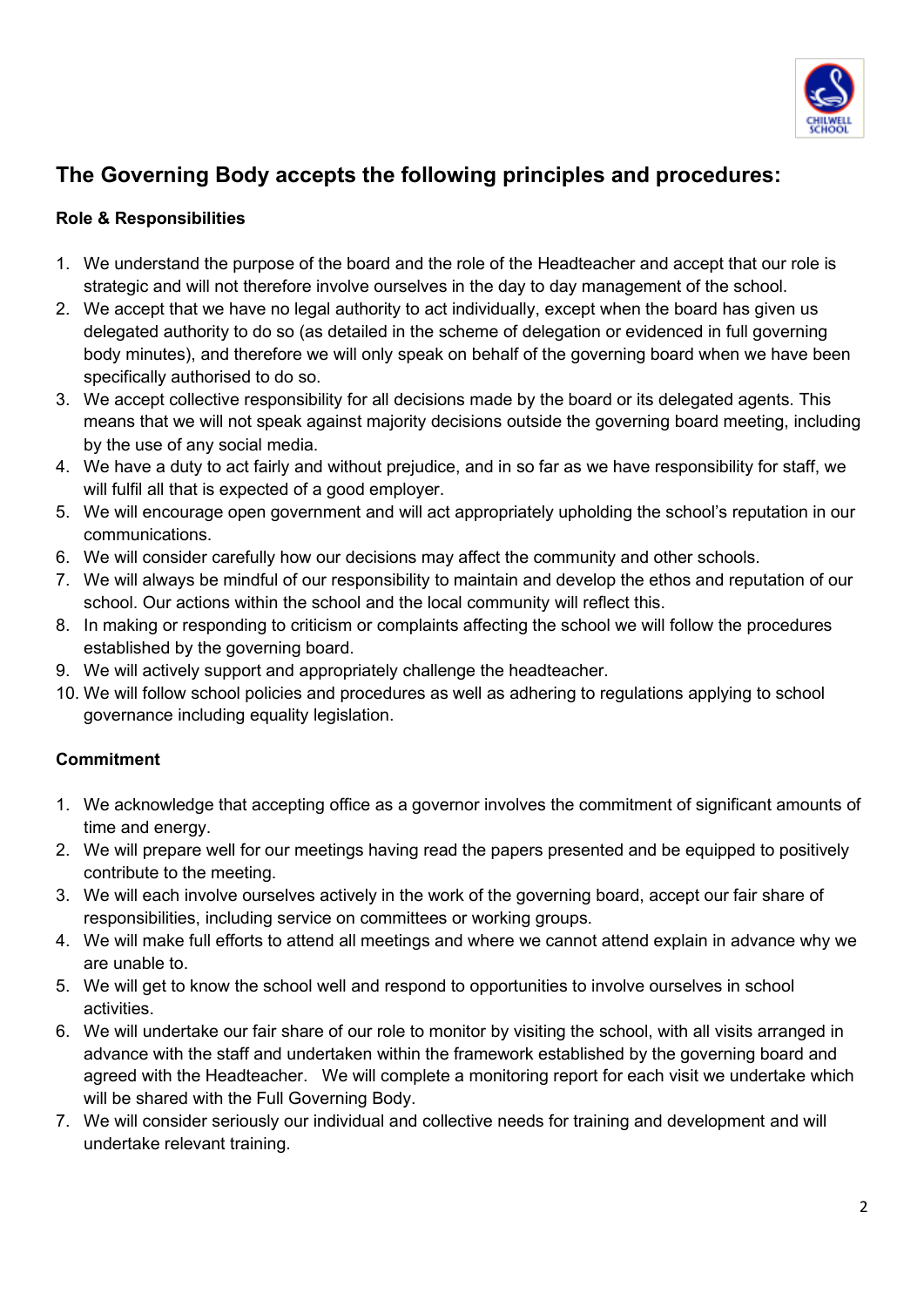

## **The Governing Body accepts the following principles and procedures:**

## **Role & Responsibilities**

- 1. We understand the purpose of the board and the role of the Headteacher and accept that our role is strategic and will not therefore involve ourselves in the day to day management of the school.
- 2. We accept that we have no legal authority to act individually, except when the board has given us delegated authority to do so (as detailed in the scheme of delegation or evidenced in full governing body minutes), and therefore we will only speak on behalf of the governing board when we have been specifically authorised to do so.
- 3. We accept collective responsibility for all decisions made by the board or its delegated agents. This means that we will not speak against majority decisions outside the governing board meeting, including by the use of any social media.
- 4. We have a duty to act fairly and without prejudice, and in so far as we have responsibility for staff, we will fulfil all that is expected of a good employer.
- 5. We will encourage open government and will act appropriately upholding the school's reputation in our communications.
- 6. We will consider carefully how our decisions may affect the community and other schools.
- 7. We will always be mindful of our responsibility to maintain and develop the ethos and reputation of our school. Our actions within the school and the local community will reflect this.
- 8. In making or responding to criticism or complaints affecting the school we will follow the procedures established by the governing board.
- 9. We will actively support and appropriately challenge the headteacher.
- 10. We will follow school policies and procedures as well as adhering to regulations applying to school governance including equality legislation.

## **Commitment**

- 1. We acknowledge that accepting office as a governor involves the commitment of significant amounts of time and energy.
- 2. We will prepare well for our meetings having read the papers presented and be equipped to positively contribute to the meeting.
- 3. We will each involve ourselves actively in the work of the governing board, accept our fair share of responsibilities, including service on committees or working groups.
- 4. We will make full efforts to attend all meetings and where we cannot attend explain in advance why we are unable to.
- 5. We will get to know the school well and respond to opportunities to involve ourselves in school activities.
- 6. We will undertake our fair share of our role to monitor by visiting the school, with all visits arranged in advance with the staff and undertaken within the framework established by the governing board and agreed with the Headteacher. We will complete a monitoring report for each visit we undertake which will be shared with the Full Governing Body.
- 7. We will consider seriously our individual and collective needs for training and development and will undertake relevant training.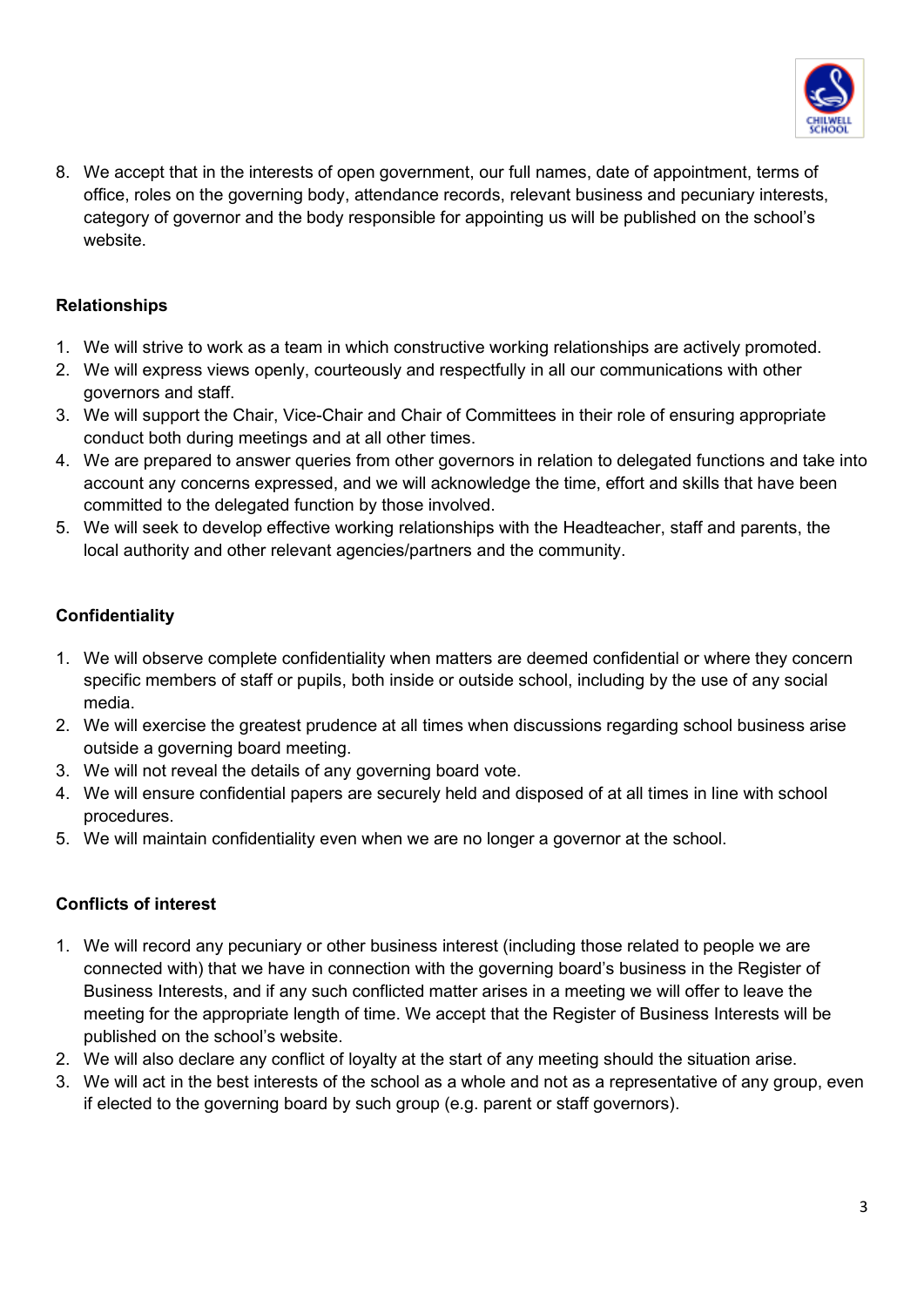

8. We accept that in the interests of open government, our full names, date of appointment, terms of office, roles on the governing body, attendance records, relevant business and pecuniary interests, category of governor and the body responsible for appointing us will be published on the school's website.

## **Relationships**

- 1. We will strive to work as a team in which constructive working relationships are actively promoted.
- 2. We will express views openly, courteously and respectfully in all our communications with other governors and staff.
- 3. We will support the Chair, Vice-Chair and Chair of Committees in their role of ensuring appropriate conduct both during meetings and at all other times.
- 4. We are prepared to answer queries from other governors in relation to delegated functions and take into account any concerns expressed, and we will acknowledge the time, effort and skills that have been committed to the delegated function by those involved.
- 5. We will seek to develop effective working relationships with the Headteacher, staff and parents, the local authority and other relevant agencies/partners and the community.

## **Confidentiality**

- 1. We will observe complete confidentiality when matters are deemed confidential or where they concern specific members of staff or pupils, both inside or outside school, including by the use of any social media.
- 2. We will exercise the greatest prudence at all times when discussions regarding school business arise outside a governing board meeting.
- 3. We will not reveal the details of any governing board vote.
- 4. We will ensure confidential papers are securely held and disposed of at all times in line with school procedures.
- 5. We will maintain confidentiality even when we are no longer a governor at the school.

#### **Conflicts of interest**

- 1. We will record any pecuniary or other business interest (including those related to people we are connected with) that we have in connection with the governing board's business in the Register of Business Interests, and if any such conflicted matter arises in a meeting we will offer to leave the meeting for the appropriate length of time. We accept that the Register of Business Interests will be published on the school's website.
- 2. We will also declare any conflict of loyalty at the start of any meeting should the situation arise.
- 3. We will act in the best interests of the school as a whole and not as a representative of any group, even if elected to the governing board by such group (e.g. parent or staff governors).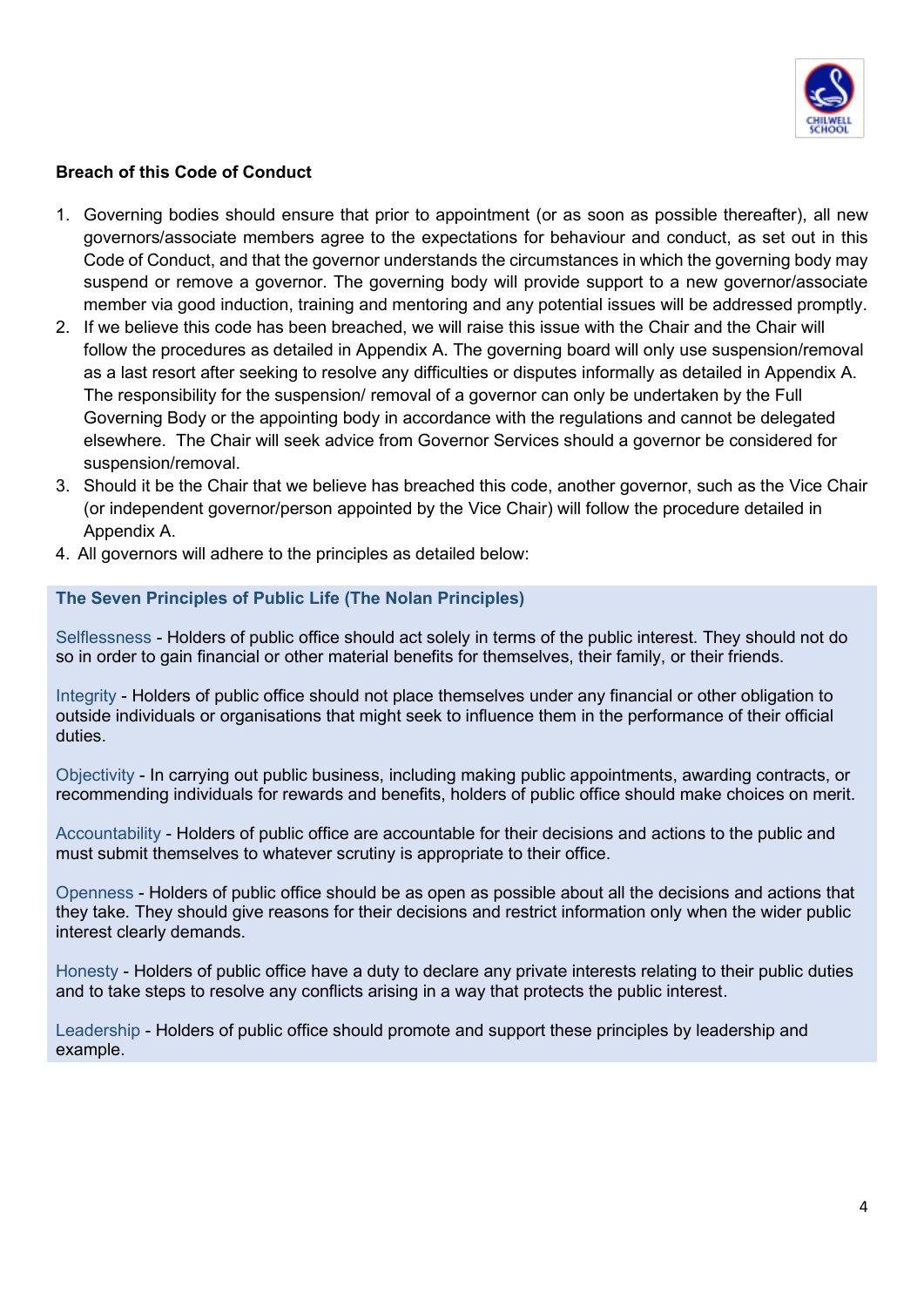

#### **Breach of this Code of Conduct**

- 1. Governing bodies should ensure that prior to appointment (or as soon as possible thereafter), all new governors/associate members agree to the expectations for behaviour and conduct, as set out in this Code of Conduct, and that the governor understands the circumstances in which the governing body may suspend or remove a governor. The governing body will provide support to a new governor/associate member via good induction, training and mentoring and any potential issues will be addressed promptly.
- 2. If we believe this code has been breached, we will raise this issue with the Chair and the Chair will follow the procedures as detailed in Appendix A. The governing board will only use suspension/removal as a last resort after seeking to resolve any difficulties or disputes informally as detailed in Appendix A. The responsibility for the suspension/ removal of a governor can only be undertaken by the Full Governing Body or the appointing body in accordance with the regulations and cannot be delegated elsewhere. The Chair will seek advice from Governor Services should a governor be considered for suspension/removal.
- 3. Should it be the Chair that we believe has breached this code, another governor, such as the Vice Chair (or independent governor/person appointed by the Vice Chair) will follow the procedure detailed in Appendix A.
- 4. All governors will adhere to the principles as detailed below:

#### **The Seven Principles of Public Life (The Nolan Principles)**

Selflessness - Holders of public office should act solely in terms of the public interest. They should not do so in order to gain financial or other material benefits for themselves, their family, or their friends.

Integrity - Holders of public office should not place themselves under any financial or other obligation to outside individuals or organisations that might seek to influence them in the performance of their official duties.

Objectivity - In carrying out public business, including making public appointments, awarding contracts, or recommending individuals for rewards and benefits, holders of public office should make choices on merit.

Accountability - Holders of public office are accountable for their decisions and actions to the public and must submit themselves to whatever scrutiny is appropriate to their office.

Openness - Holders of public office should be as open as possible about all the decisions and actions that they take. They should give reasons for their decisions and restrict information only when the wider public interest clearly demands.

Honesty - Holders of public office have a duty to declare any private interests relating to their public duties and to take steps to resolve any conflicts arising in a way that protects the public interest.

Leadership - Holders of public office should promote and support these principles by leadership and example.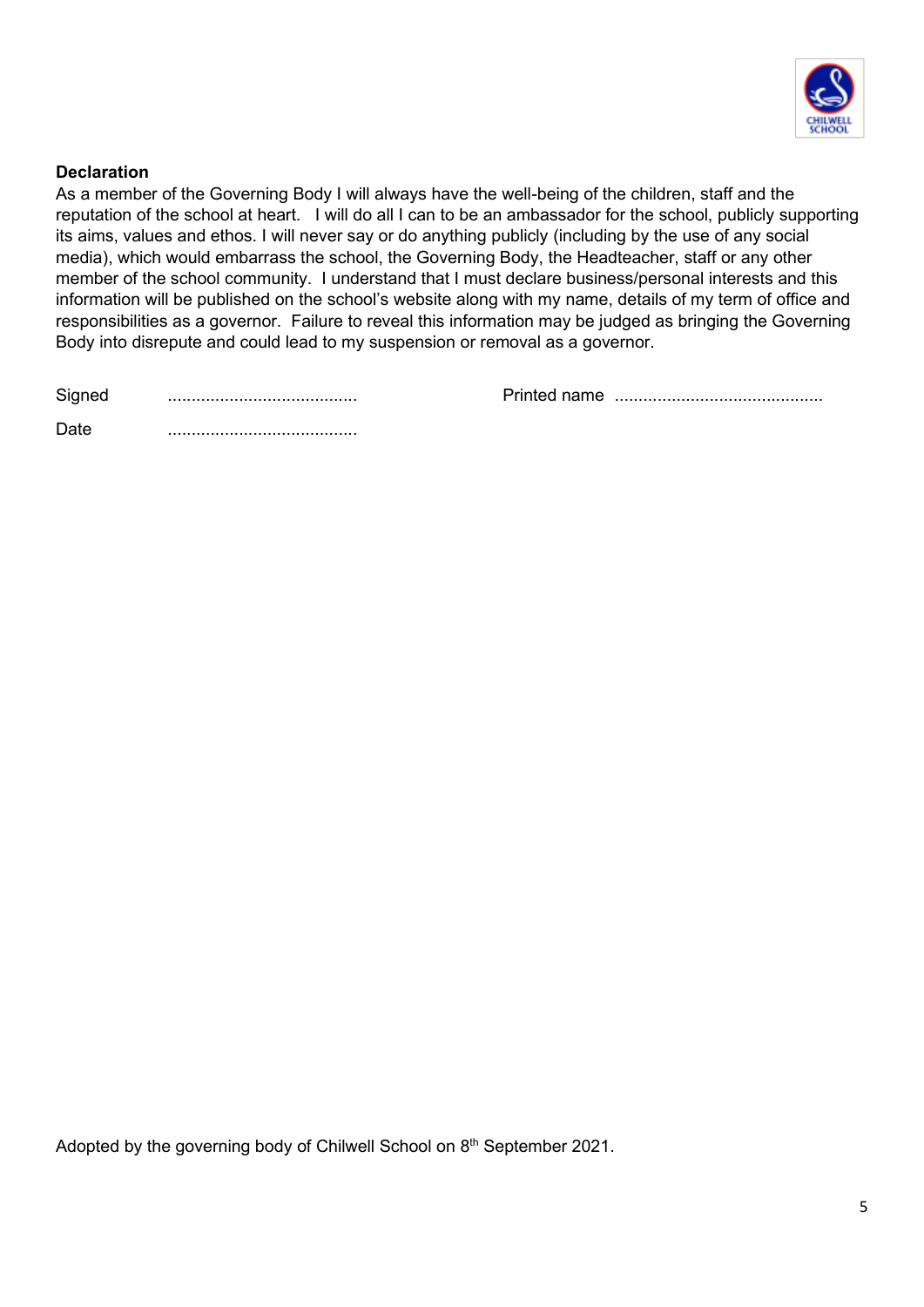

#### **Declaration**

As a member of the Governing Body I will always have the well-being of the children, staff and the reputation of the school at heart. I will do all I can to be an ambassador for the school, publicly supporting its aims, values and ethos. I will never say or do anything publicly (including by the use of any social media), which would embarrass the school, the Governing Body, the Headteacher, staff or any other member of the school community. I understand that I must declare business/personal interests and this information will be published on the school's website along with my name, details of my term of office and responsibilities as a governor. Failure to reveal this information may be judged as bringing the Governing Body into disrepute and could lead to my suspension or removal as a governor.

Signed ........................................ Printed name ............................................

| - 32 |  |
|------|--|
|      |  |

Adopted by the governing body of Chilwell School on 8<sup>th</sup> September 2021.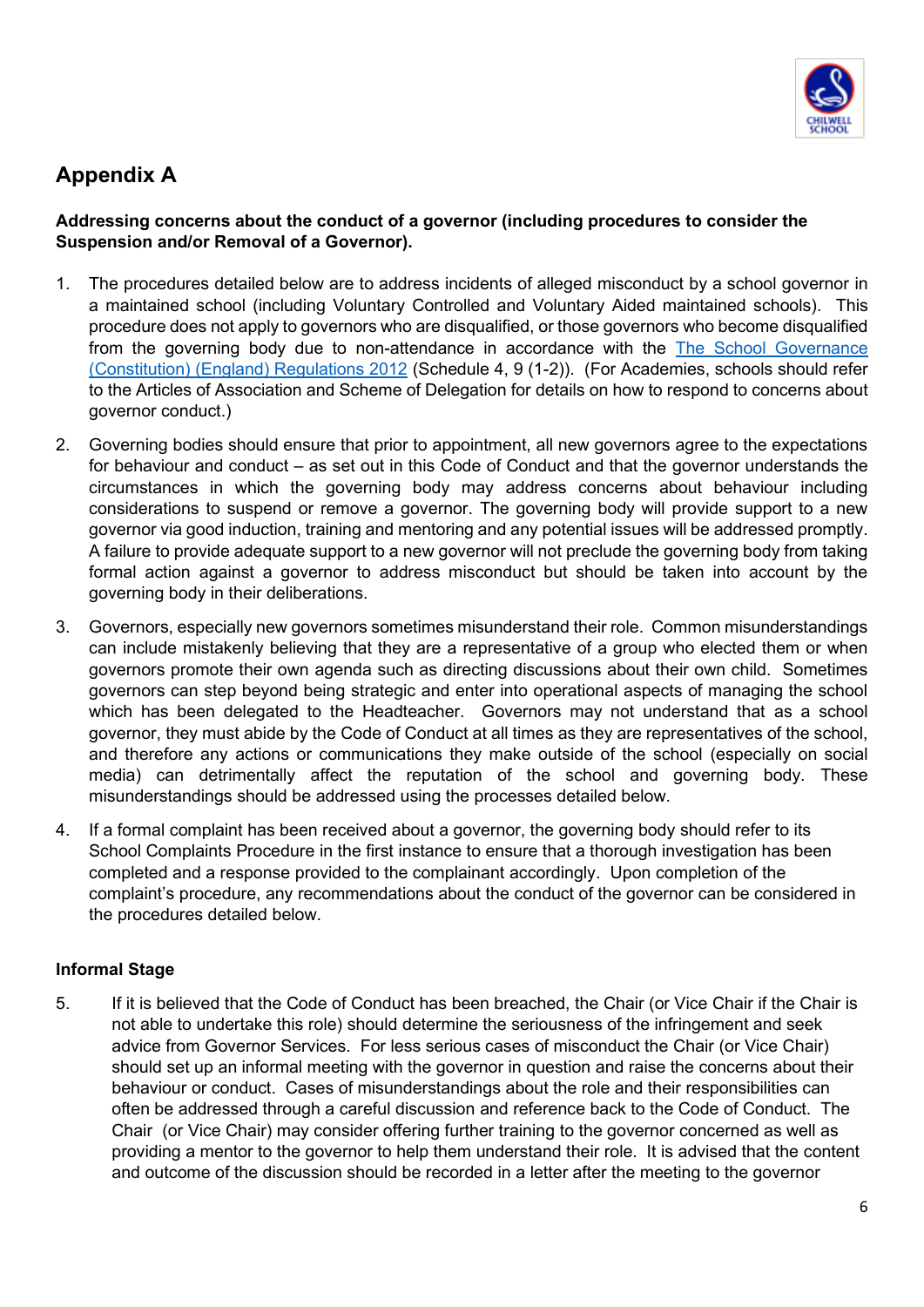

## **Appendix A**

#### **Addressing concerns about the conduct of a governor (including procedures to consider the Suspension and/or Removal of a Governor).**

- 1. The procedures detailed below are to address incidents of alleged misconduct by a school governor in a maintained school (including Voluntary Controlled and Voluntary Aided maintained schools). This procedure does not apply to governors who are disqualified, or those governors who become disqualified from the governing body due to non-attendance in accordance with the [The School Governance](https://www.legislation.gov.uk/uksi/2012/1034/contents/made)  [\(Constitution\) \(England\) Regulations 2012](https://www.legislation.gov.uk/uksi/2012/1034/contents/made) (Schedule 4, 9 (1-2)). (For Academies, schools should refer to the Articles of Association and Scheme of Delegation for details on how to respond to concerns about governor conduct.)
- 2. Governing bodies should ensure that prior to appointment, all new governors agree to the expectations for behaviour and conduct – as set out in this Code of Conduct and that the governor understands the circumstances in which the governing body may address concerns about behaviour including considerations to suspend or remove a governor. The governing body will provide support to a new governor via good induction, training and mentoring and any potential issues will be addressed promptly. A failure to provide adequate support to a new governor will not preclude the governing body from taking formal action against a governor to address misconduct but should be taken into account by the governing body in their deliberations.
- 3. Governors, especially new governors sometimes misunderstand their role. Common misunderstandings can include mistakenly believing that they are a representative of a group who elected them or when governors promote their own agenda such as directing discussions about their own child. Sometimes governors can step beyond being strategic and enter into operational aspects of managing the school which has been delegated to the Headteacher. Governors may not understand that as a school governor, they must abide by the Code of Conduct at all times as they are representatives of the school, and therefore any actions or communications they make outside of the school (especially on social media) can detrimentally affect the reputation of the school and governing body. These misunderstandings should be addressed using the processes detailed below.
- 4. If a formal complaint has been received about a governor, the governing body should refer to its School Complaints Procedure in the first instance to ensure that a thorough investigation has been completed and a response provided to the complainant accordingly. Upon completion of the complaint's procedure, any recommendations about the conduct of the governor can be considered in the procedures detailed below.

#### **Informal Stage**

5. If it is believed that the Code of Conduct has been breached, the Chair (or Vice Chair if the Chair is not able to undertake this role) should determine the seriousness of the infringement and seek advice from Governor Services. For less serious cases of misconduct the Chair (or Vice Chair) should set up an informal meeting with the governor in question and raise the concerns about their behaviour or conduct. Cases of misunderstandings about the role and their responsibilities can often be addressed through a careful discussion and reference back to the Code of Conduct. The Chair (or Vice Chair) may consider offering further training to the governor concerned as well as providing a mentor to the governor to help them understand their role. It is advised that the content and outcome of the discussion should be recorded in a letter after the meeting to the governor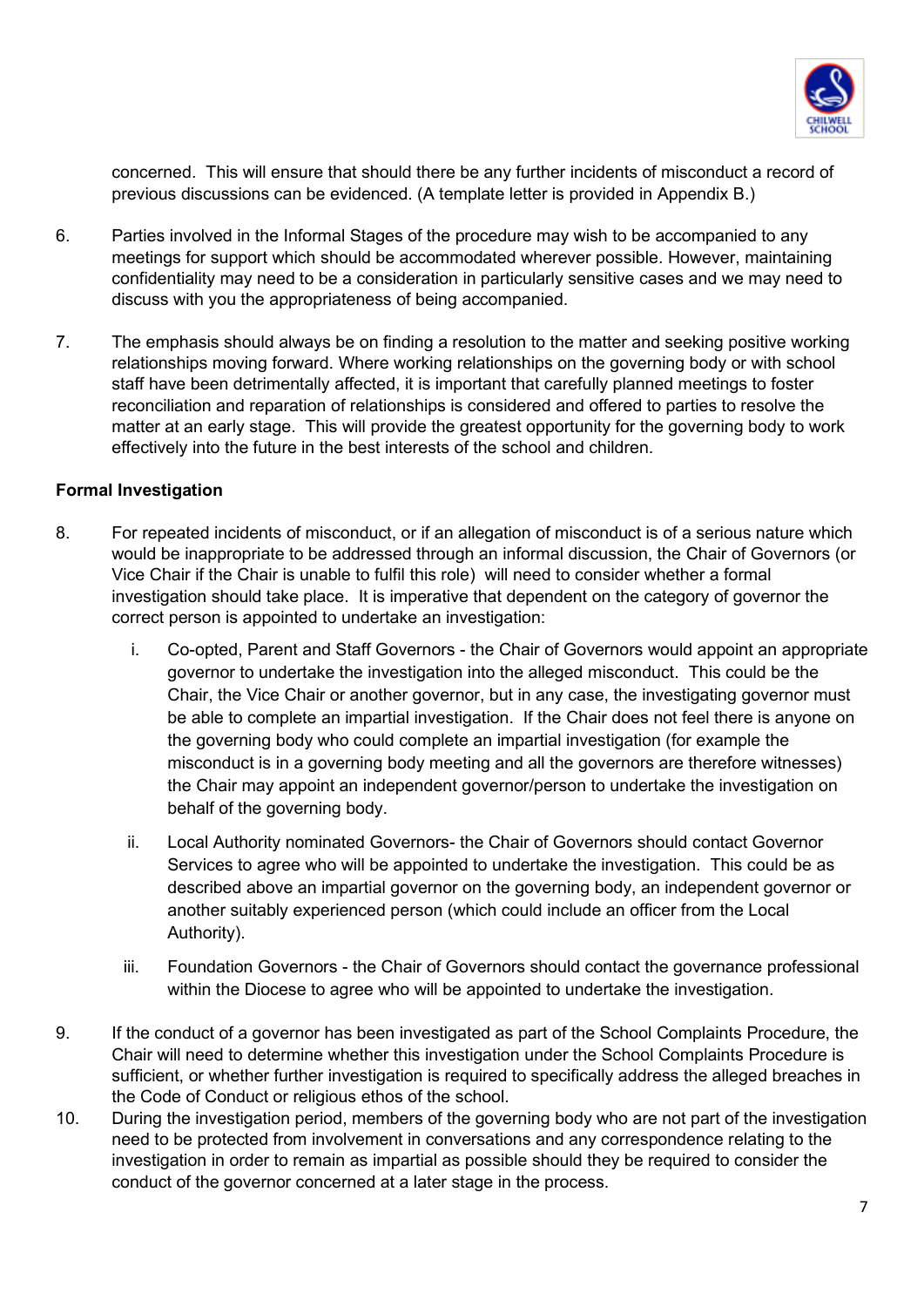

concerned. This will ensure that should there be any further incidents of misconduct a record of previous discussions can be evidenced. (A template letter is provided in Appendix B.)

- 6. Parties involved in the Informal Stages of the procedure may wish to be accompanied to any meetings for support which should be accommodated wherever possible. However, maintaining confidentiality may need to be a consideration in particularly sensitive cases and we may need to discuss with you the appropriateness of being accompanied.
- 7. The emphasis should always be on finding a resolution to the matter and seeking positive working relationships moving forward. Where working relationships on the governing body or with school staff have been detrimentally affected, it is important that carefully planned meetings to foster reconciliation and reparation of relationships is considered and offered to parties to resolve the matter at an early stage. This will provide the greatest opportunity for the governing body to work effectively into the future in the best interests of the school and children.

#### **Formal Investigation**

- 8. For repeated incidents of misconduct, or if an allegation of misconduct is of a serious nature which would be inappropriate to be addressed through an informal discussion, the Chair of Governors (or Vice Chair if the Chair is unable to fulfil this role) will need to consider whether a formal investigation should take place. It is imperative that dependent on the category of governor the correct person is appointed to undertake an investigation:
	- i. Co-opted, Parent and Staff Governors the Chair of Governors would appoint an appropriate governor to undertake the investigation into the alleged misconduct. This could be the Chair, the Vice Chair or another governor, but in any case, the investigating governor must be able to complete an impartial investigation. If the Chair does not feel there is anyone on the governing body who could complete an impartial investigation (for example the misconduct is in a governing body meeting and all the governors are therefore witnesses) the Chair may appoint an independent governor/person to undertake the investigation on behalf of the governing body.
	- ii. Local Authority nominated Governors- the Chair of Governors should contact Governor Services to agree who will be appointed to undertake the investigation. This could be as described above an impartial governor on the governing body, an independent governor or another suitably experienced person (which could include an officer from the Local Authority).
	- iii. Foundation Governors the Chair of Governors should contact the governance professional within the Diocese to agree who will be appointed to undertake the investigation.
- 9. If the conduct of a governor has been investigated as part of the School Complaints Procedure, the Chair will need to determine whether this investigation under the School Complaints Procedure is sufficient, or whether further investigation is required to specifically address the alleged breaches in the Code of Conduct or religious ethos of the school.
- 10. During the investigation period, members of the governing body who are not part of the investigation need to be protected from involvement in conversations and any correspondence relating to the investigation in order to remain as impartial as possible should they be required to consider the conduct of the governor concerned at a later stage in the process.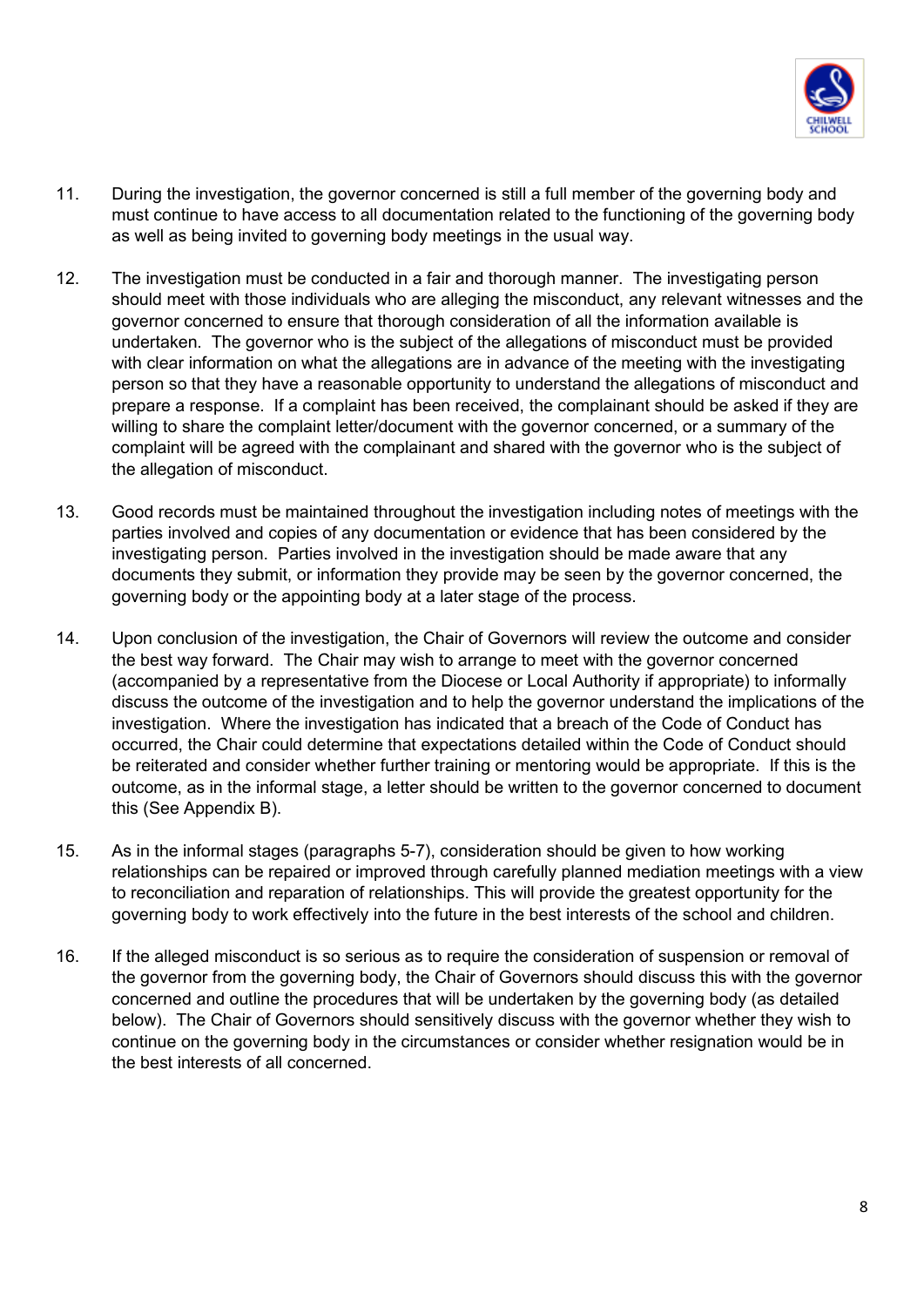

- 11. During the investigation, the governor concerned is still a full member of the governing body and must continue to have access to all documentation related to the functioning of the governing body as well as being invited to governing body meetings in the usual way.
- 12. The investigation must be conducted in a fair and thorough manner. The investigating person should meet with those individuals who are alleging the misconduct, any relevant witnesses and the governor concerned to ensure that thorough consideration of all the information available is undertaken. The governor who is the subject of the allegations of misconduct must be provided with clear information on what the allegations are in advance of the meeting with the investigating person so that they have a reasonable opportunity to understand the allegations of misconduct and prepare a response. If a complaint has been received, the complainant should be asked if they are willing to share the complaint letter/document with the governor concerned, or a summary of the complaint will be agreed with the complainant and shared with the governor who is the subject of the allegation of misconduct.
- 13. Good records must be maintained throughout the investigation including notes of meetings with the parties involved and copies of any documentation or evidence that has been considered by the investigating person. Parties involved in the investigation should be made aware that any documents they submit, or information they provide may be seen by the governor concerned, the governing body or the appointing body at a later stage of the process.
- 14. Upon conclusion of the investigation, the Chair of Governors will review the outcome and consider the best way forward. The Chair may wish to arrange to meet with the governor concerned (accompanied by a representative from the Diocese or Local Authority if appropriate) to informally discuss the outcome of the investigation and to help the governor understand the implications of the investigation. Where the investigation has indicated that a breach of the Code of Conduct has occurred, the Chair could determine that expectations detailed within the Code of Conduct should be reiterated and consider whether further training or mentoring would be appropriate. If this is the outcome, as in the informal stage, a letter should be written to the governor concerned to document this (See Appendix B).
- 15. As in the informal stages (paragraphs 5-7), consideration should be given to how working relationships can be repaired or improved through carefully planned mediation meetings with a view to reconciliation and reparation of relationships. This will provide the greatest opportunity for the governing body to work effectively into the future in the best interests of the school and children.
- 16. If the alleged misconduct is so serious as to require the consideration of suspension or removal of the governor from the governing body, the Chair of Governors should discuss this with the governor concerned and outline the procedures that will be undertaken by the governing body (as detailed below). The Chair of Governors should sensitively discuss with the governor whether they wish to continue on the governing body in the circumstances or consider whether resignation would be in the best interests of all concerned.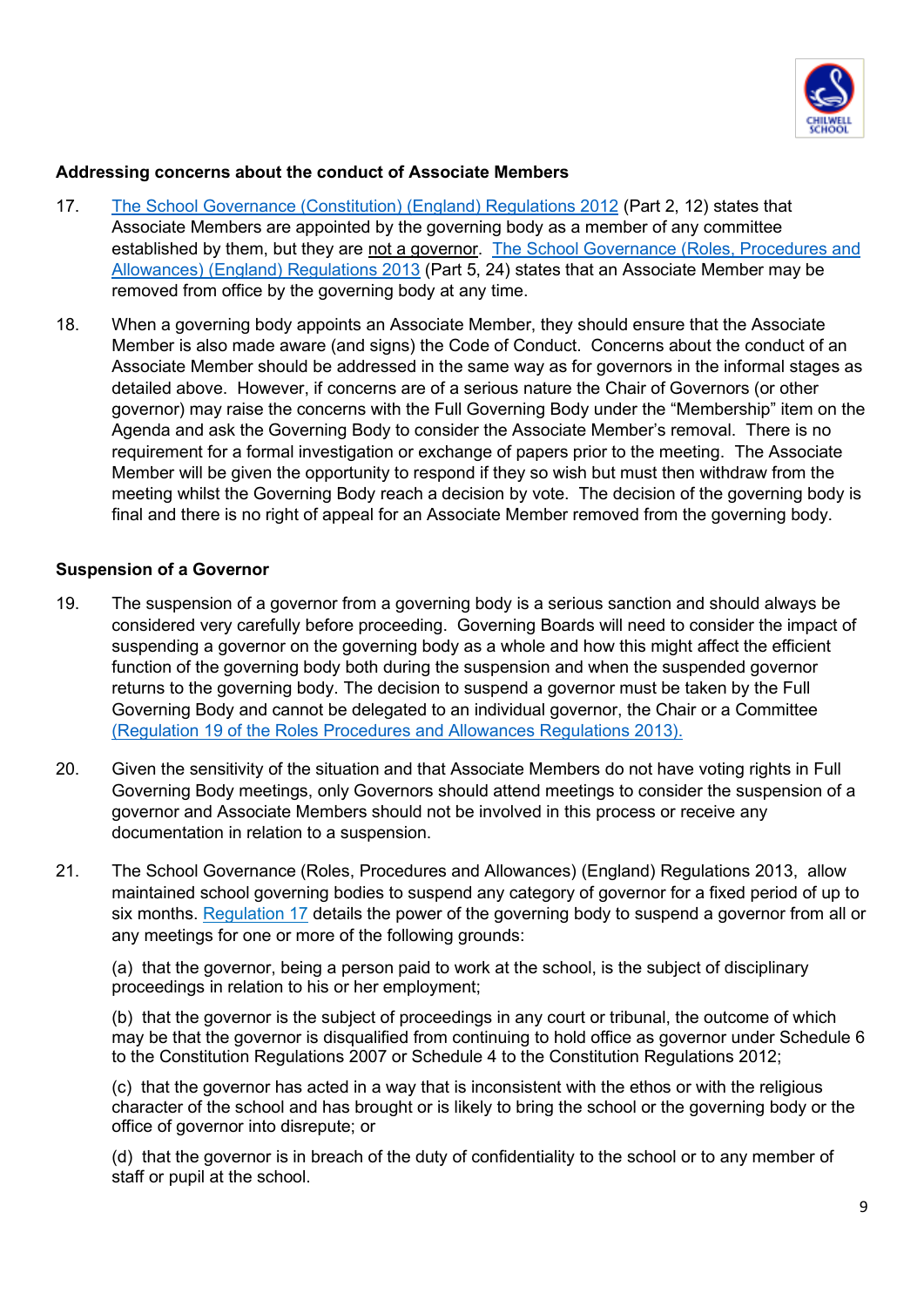

#### **Addressing concerns about the conduct of Associate Members**

- 17. [The School Governance \(Constitution\) \(England\) Regulations 2012](https://www.legislation.gov.uk/uksi/2012/1034/contents/made) (Part 2, 12) states that Associate Members are appointed by the governing body as a member of any committee established by them, but they are not a governor. [The School Governance \(Roles, Procedures and](https://www.legislation.gov.uk/uksi/2013/1624/contents/made)  [Allowances\) \(England\) Regulations 2013](https://www.legislation.gov.uk/uksi/2013/1624/contents/made) (Part 5, 24) states that an Associate Member may be removed from office by the governing body at any time.
- 18. When a governing body appoints an Associate Member, they should ensure that the Associate Member is also made aware (and signs) the Code of Conduct. Concerns about the conduct of an Associate Member should be addressed in the same way as for governors in the informal stages as detailed above. However, if concerns are of a serious nature the Chair of Governors (or other governor) may raise the concerns with the Full Governing Body under the "Membership" item on the Agenda and ask the Governing Body to consider the Associate Member's removal. There is no requirement for a formal investigation or exchange of papers prior to the meeting. The Associate Member will be given the opportunity to respond if they so wish but must then withdraw from the meeting whilst the Governing Body reach a decision by vote. The decision of the governing body is final and there is no right of appeal for an Associate Member removed from the governing body.

#### **Suspension of a Governor**

- 19. The suspension of a governor from a governing body is a serious sanction and should always be considered very carefully before proceeding. Governing Boards will need to consider the impact of suspending a governor on the governing body as a whole and how this might affect the efficient function of the governing body both during the suspension and when the suspended governor returns to the governing body. The decision to suspend a governor must be taken by the Full Governing Body and cannot be delegated to an individual governor, the Chair or a Committee [\(Regulation 19 of the Roles Procedures and Allowances Regulations 2013\).](https://www.legislation.gov.uk/uksi/2013/1624/regulation/19/made)
- 20. Given the sensitivity of the situation and that Associate Members do not have voting rights in Full Governing Body meetings, only Governors should attend meetings to consider the suspension of a governor and Associate Members should not be involved in this process or receive any documentation in relation to a suspension.
- 21. [The School Governance \(Roles, Procedures and Allowances\) \(England\) Regulations 2013,](https://www.legislation.gov.uk/uksi/2013/1624/contents/made) allow maintained school governing bodies to suspend any category of governor for a fixed period of up to six months. [Regulation 17](https://www.legislation.gov.uk/uksi/2013/1624/regulation/17/made) details the power of the governing body to suspend a governor from all or any meetings for one or more of the following grounds:

(a) that the governor, being a person paid to work at the school, is the subject of disciplinary proceedings in relation to his or her employment;

(b) that the governor is the subject of proceedings in any court or tribunal, the outcome of which may be that the governor is disqualified from continuing to hold office as governor under Schedule 6 to the Constitution Regulations 2007 or Schedule 4 to the Constitution Regulations 2012;

(c) that the governor has acted in a way that is inconsistent with the ethos or with the religious character of the school and has brought or is likely to bring the school or the governing body or the office of governor into disrepute; or

(d) that the governor is in breach of the duty of confidentiality to the school or to any member of staff or pupil at the school.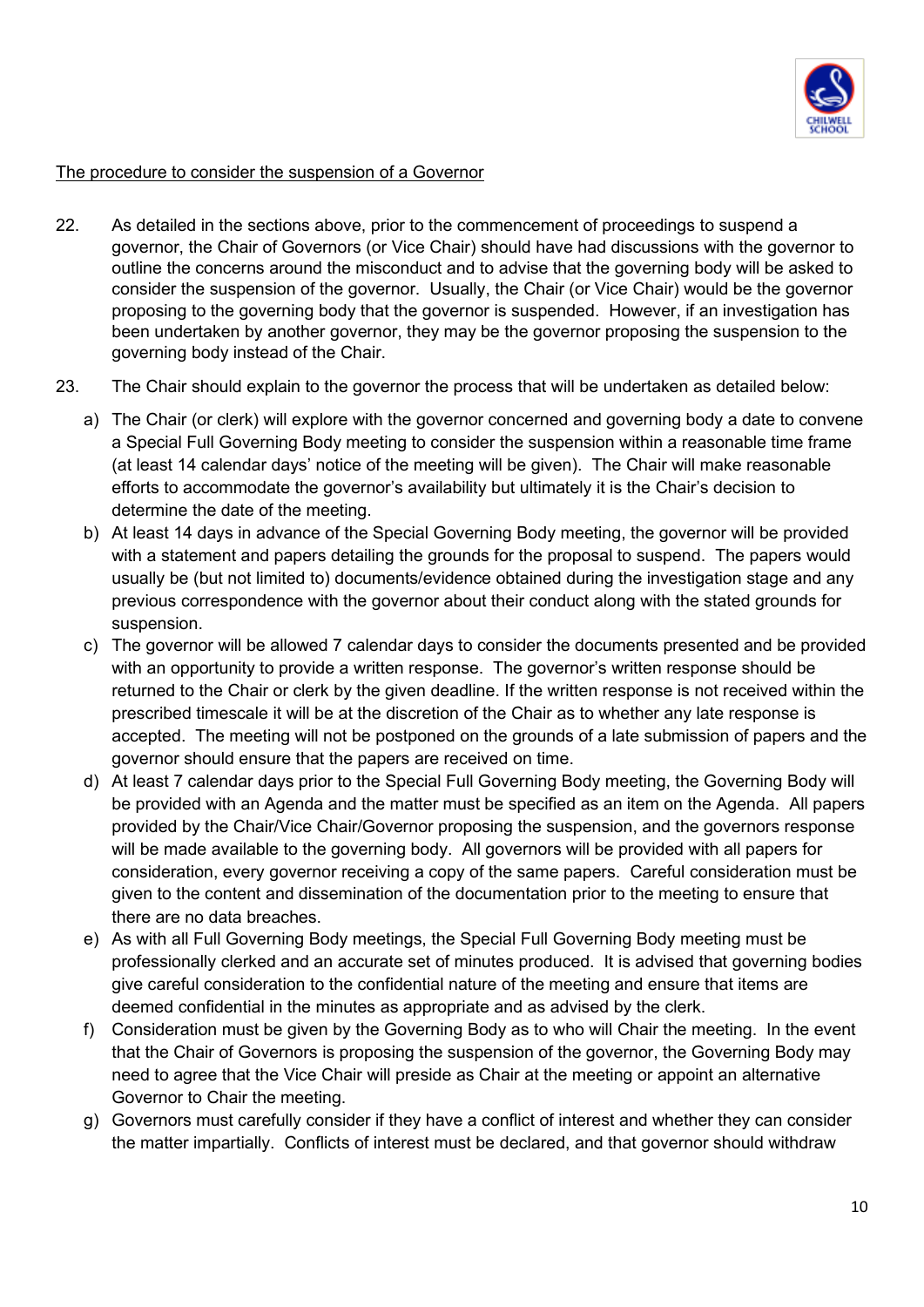

#### The procedure to consider the suspension of a Governor

- 22. As detailed in the sections above, prior to the commencement of proceedings to suspend a governor, the Chair of Governors (or Vice Chair) should have had discussions with the governor to outline the concerns around the misconduct and to advise that the governing body will be asked to consider the suspension of the governor. Usually, the Chair (or Vice Chair) would be the governor proposing to the governing body that the governor is suspended. However, if an investigation has been undertaken by another governor, they may be the governor proposing the suspension to the governing body instead of the Chair.
- 23. The Chair should explain to the governor the process that will be undertaken as detailed below:
	- a) The Chair (or clerk) will explore with the governor concerned and governing body a date to convene a Special Full Governing Body meeting to consider the suspension within a reasonable time frame (at least 14 calendar days' notice of the meeting will be given). The Chair will make reasonable efforts to accommodate the governor's availability but ultimately it is the Chair's decision to determine the date of the meeting.
	- b) At least 14 days in advance of the Special Governing Body meeting, the governor will be provided with a statement and papers detailing the grounds for the proposal to suspend. The papers would usually be (but not limited to) documents/evidence obtained during the investigation stage and any previous correspondence with the governor about their conduct along with the stated grounds for suspension.
	- c) The governor will be allowed 7 calendar days to consider the documents presented and be provided with an opportunity to provide a written response. The governor's written response should be returned to the Chair or clerk by the given deadline. If the written response is not received within the prescribed timescale it will be at the discretion of the Chair as to whether any late response is accepted. The meeting will not be postponed on the grounds of a late submission of papers and the governor should ensure that the papers are received on time.
	- d) At least 7 calendar days prior to the Special Full Governing Body meeting, the Governing Body will be provided with an Agenda and the matter must be specified as an item on the Agenda. All papers provided by the Chair/Vice Chair/Governor proposing the suspension, and the governors response will be made available to the governing body. All governors will be provided with all papers for consideration, every governor receiving a copy of the same papers. Careful consideration must be given to the content and dissemination of the documentation prior to the meeting to ensure that there are no data breaches.
	- e) As with all Full Governing Body meetings, the Special Full Governing Body meeting must be professionally clerked and an accurate set of minutes produced. It is advised that governing bodies give careful consideration to the confidential nature of the meeting and ensure that items are deemed confidential in the minutes as appropriate and as advised by the clerk.
	- f) Consideration must be given by the Governing Body as to who will Chair the meeting. In the event that the Chair of Governors is proposing the suspension of the governor, the Governing Body may need to agree that the Vice Chair will preside as Chair at the meeting or appoint an alternative Governor to Chair the meeting.
	- g) Governors must carefully consider if they have a conflict of interest and whether they can consider the matter impartially. Conflicts of interest must be declared, and that governor should withdraw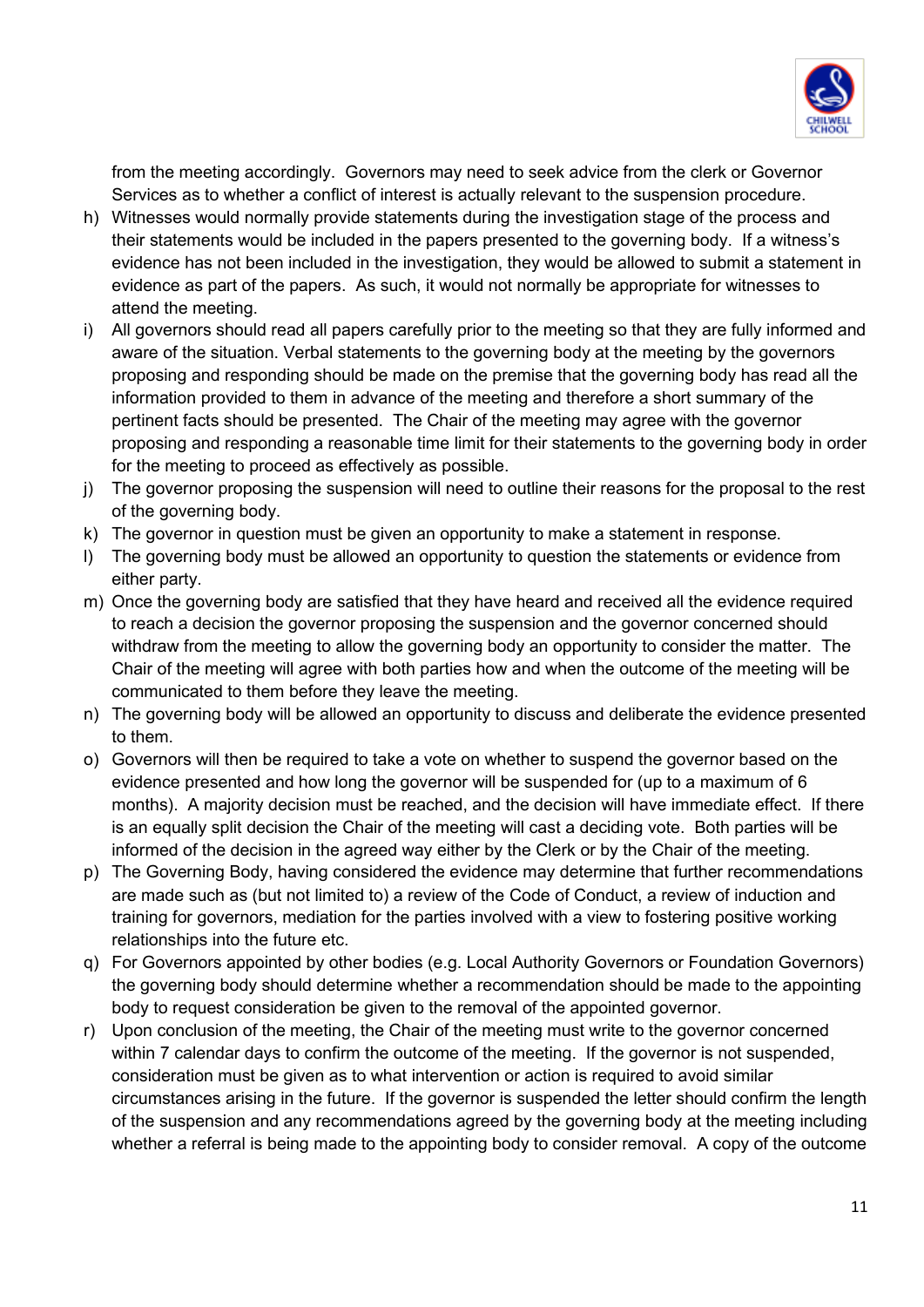

from the meeting accordingly. Governors may need to seek advice from the clerk or Governor Services as to whether a conflict of interest is actually relevant to the suspension procedure.

- h) Witnesses would normally provide statements during the investigation stage of the process and their statements would be included in the papers presented to the governing body. If a witness's evidence has not been included in the investigation, they would be allowed to submit a statement in evidence as part of the papers. As such, it would not normally be appropriate for witnesses to attend the meeting.
- i) All governors should read all papers carefully prior to the meeting so that they are fully informed and aware of the situation. Verbal statements to the governing body at the meeting by the governors proposing and responding should be made on the premise that the governing body has read all the information provided to them in advance of the meeting and therefore a short summary of the pertinent facts should be presented. The Chair of the meeting may agree with the governor proposing and responding a reasonable time limit for their statements to the governing body in order for the meeting to proceed as effectively as possible.
- j) The governor proposing the suspension will need to outline their reasons for the proposal to the rest of the governing body.
- k) The governor in question must be given an opportunity to make a statement in response.
- l) The governing body must be allowed an opportunity to question the statements or evidence from either party.
- m) Once the governing body are satisfied that they have heard and received all the evidence required to reach a decision the governor proposing the suspension and the governor concerned should withdraw from the meeting to allow the governing body an opportunity to consider the matter. The Chair of the meeting will agree with both parties how and when the outcome of the meeting will be communicated to them before they leave the meeting.
- n) The governing body will be allowed an opportunity to discuss and deliberate the evidence presented to them.
- o) Governors will then be required to take a vote on whether to suspend the governor based on the evidence presented and how long the governor will be suspended for (up to a maximum of 6 months). A majority decision must be reached, and the decision will have immediate effect. If there is an equally split decision the Chair of the meeting will cast a deciding vote. Both parties will be informed of the decision in the agreed way either by the Clerk or by the Chair of the meeting.
- p) The Governing Body, having considered the evidence may determine that further recommendations are made such as (but not limited to) a review of the Code of Conduct, a review of induction and training for governors, mediation for the parties involved with a view to fostering positive working relationships into the future etc.
- q) For Governors appointed by other bodies (e.g. Local Authority Governors or Foundation Governors) the governing body should determine whether a recommendation should be made to the appointing body to request consideration be given to the removal of the appointed governor.
- r) Upon conclusion of the meeting, the Chair of the meeting must write to the governor concerned within 7 calendar days to confirm the outcome of the meeting. If the governor is not suspended, consideration must be given as to what intervention or action is required to avoid similar circumstances arising in the future. If the governor is suspended the letter should confirm the length of the suspension and any recommendations agreed by the governing body at the meeting including whether a referral is being made to the appointing body to consider removal. A copy of the outcome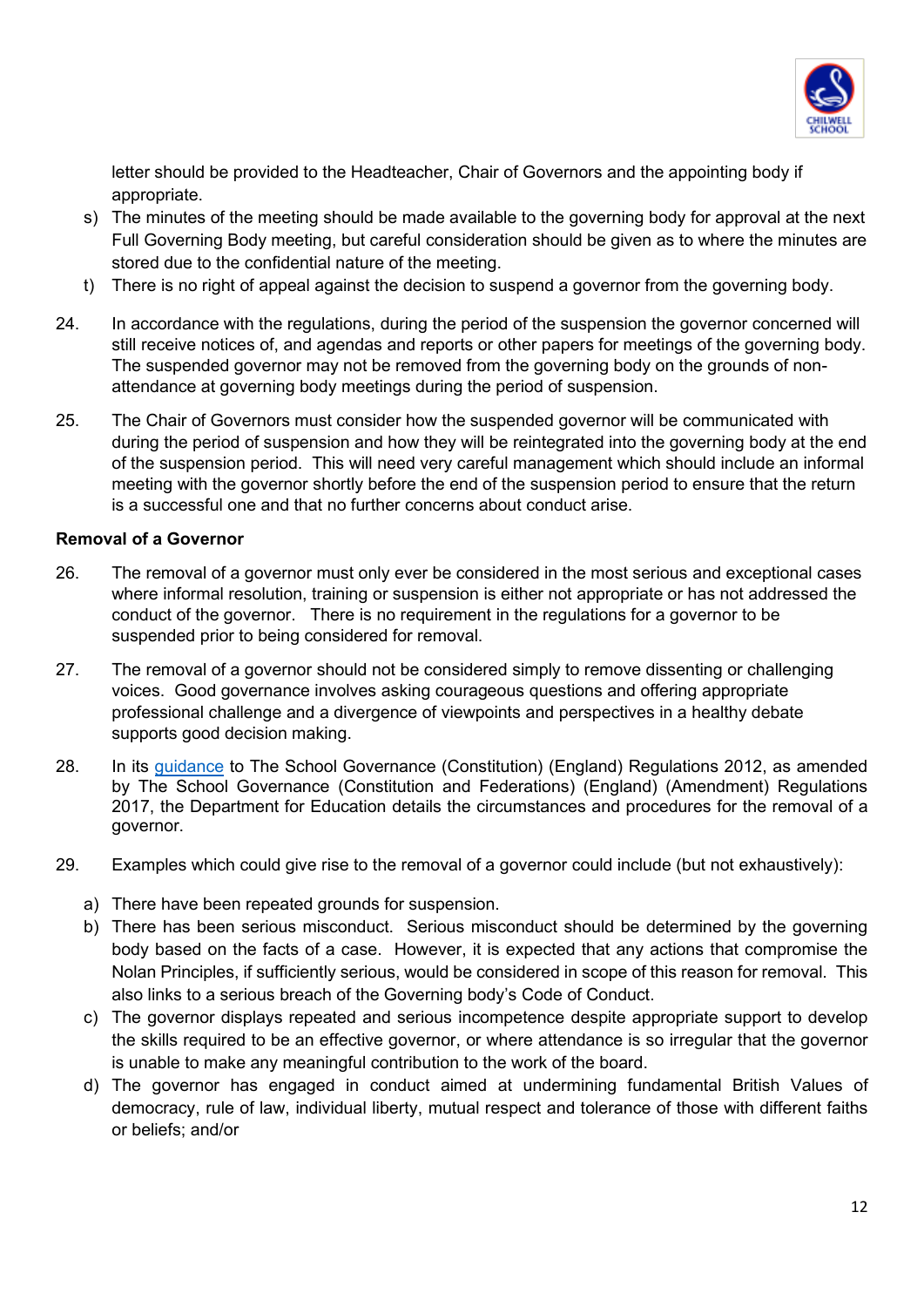

letter should be provided to the Headteacher, Chair of Governors and the appointing body if appropriate.

- s) The minutes of the meeting should be made available to the governing body for approval at the next Full Governing Body meeting, but careful consideration should be given as to where the minutes are stored due to the confidential nature of the meeting.
- t) There is no right of appeal against the decision to suspend a governor from the governing body.
- 24. In accordance with the regulations, during the period of the suspension the governor concerned will still receive notices of, and agendas and reports or other papers for meetings of the governing body. The suspended governor may not be removed from the governing body on the grounds of nonattendance at governing body meetings during the period of suspension.
- 25. The Chair of Governors must consider how the suspended governor will be communicated with during the period of suspension and how they will be reintegrated into the governing body at the end of the suspension period. This will need very careful management which should include an informal meeting with the governor shortly before the end of the suspension period to ensure that the return is a successful one and that no further concerns about conduct arise.

#### **Removal of a Governor**

- 26. The removal of a governor must only ever be considered in the most serious and exceptional cases where informal resolution, training or suspension is either not appropriate or has not addressed the conduct of the governor. There is no requirement in the regulations for a governor to be suspended prior to being considered for removal.
- 27. The removal of a governor should not be considered simply to remove dissenting or challenging voices. Good governance involves asking courageous questions and offering appropriate professional challenge and a divergence of viewpoints and perspectives in a healthy debate supports good decision making.
- 28. In its [guidance](https://www.gov.uk/government/publications/constitution-of-governing-bodies-of-maintained-schools) to The School Governance (Constitution) (England) Regulations 2012, as amended by The School Governance (Constitution and Federations) (England) (Amendment) Regulations 2017, the Department for Education details the circumstances and procedures for the removal of a governor.
- 29. Examples which could give rise to the removal of a governor could include (but not exhaustively):
	- a) There have been repeated grounds for suspension.
	- b) There has been serious misconduct. Serious misconduct should be determined by the governing body based on the facts of a case. However, it is expected that any actions that compromise the Nolan Principles, if sufficiently serious, would be considered in scope of this reason for removal. This also links to a serious breach of the Governing body's Code of Conduct.
	- c) The governor displays repeated and serious incompetence despite appropriate support to develop the skills required to be an effective governor, or where attendance is so irregular that the governor is unable to make any meaningful contribution to the work of the board.
	- d) The governor has engaged in conduct aimed at undermining fundamental British Values of democracy, rule of law, individual liberty, mutual respect and tolerance of those with different faiths or beliefs; and/or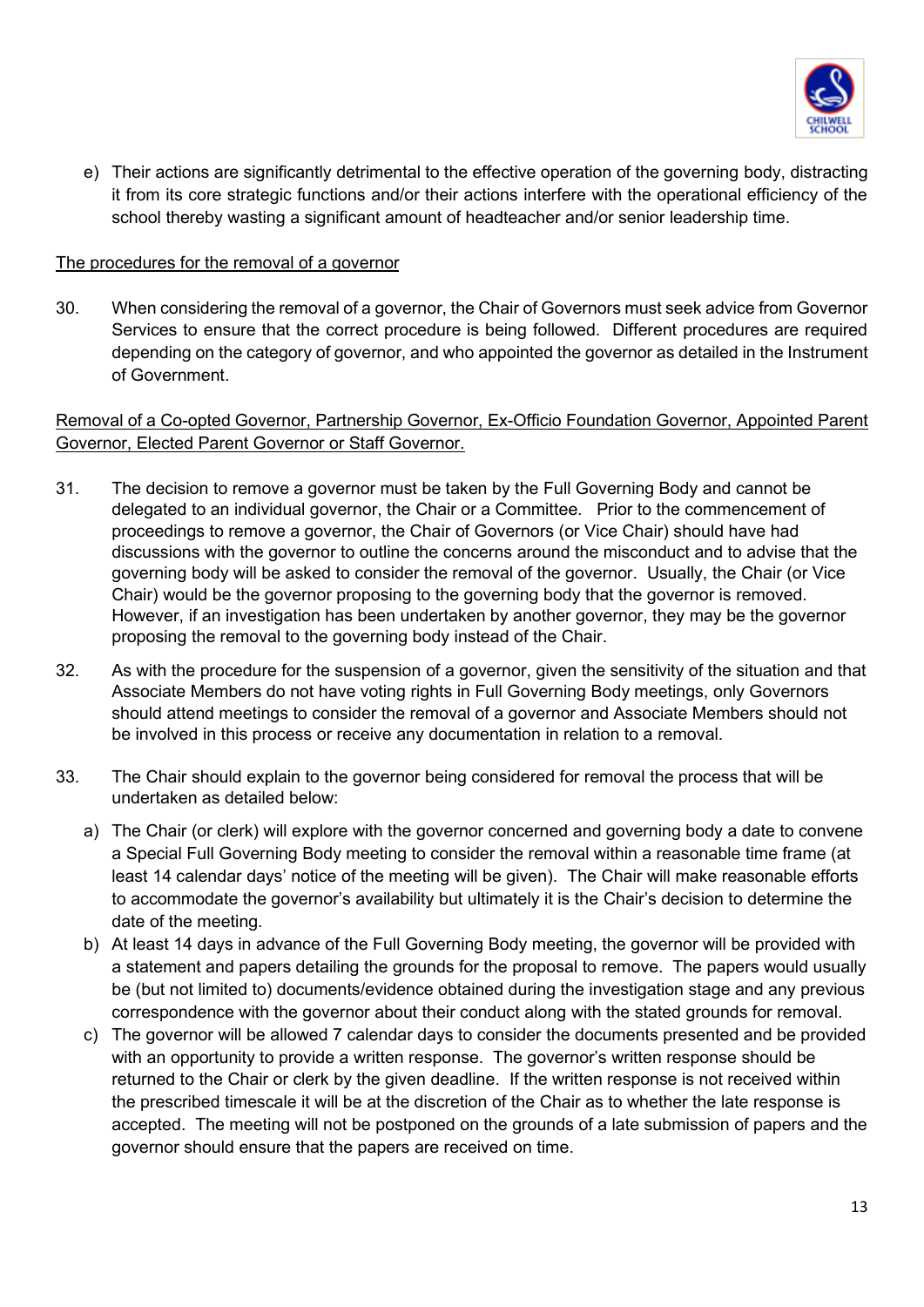

e) Their actions are significantly detrimental to the effective operation of the governing body, distracting it from its core strategic functions and/or their actions interfere with the operational efficiency of the school thereby wasting a significant amount of headteacher and/or senior leadership time.

#### The procedures for the removal of a governor

30. When considering the removal of a governor, the Chair of Governors must seek advice from Governor Services to ensure that the correct procedure is being followed. Different procedures are required depending on the category of governor, and who appointed the governor as detailed in the Instrument of Government.

#### Removal of a Co-opted Governor, Partnership Governor, Ex-Officio Foundation Governor, Appointed Parent Governor, Elected Parent Governor or Staff Governor.

- 31. The decision to remove a governor must be taken by the Full Governing Body and cannot be delegated to an individual governor, the Chair or a Committee. Prior to the commencement of proceedings to remove a governor, the Chair of Governors (or Vice Chair) should have had discussions with the governor to outline the concerns around the misconduct and to advise that the governing body will be asked to consider the removal of the governor. Usually, the Chair (or Vice Chair) would be the governor proposing to the governing body that the governor is removed. However, if an investigation has been undertaken by another governor, they may be the governor proposing the removal to the governing body instead of the Chair.
- 32. As with the procedure for the suspension of a governor, given the sensitivity of the situation and that Associate Members do not have voting rights in Full Governing Body meetings, only Governors should attend meetings to consider the removal of a governor and Associate Members should not be involved in this process or receive any documentation in relation to a removal.
- 33. The Chair should explain to the governor being considered for removal the process that will be undertaken as detailed below:
	- a) The Chair (or clerk) will explore with the governor concerned and governing body a date to convene a Special Full Governing Body meeting to consider the removal within a reasonable time frame (at least 14 calendar days' notice of the meeting will be given). The Chair will make reasonable efforts to accommodate the governor's availability but ultimately it is the Chair's decision to determine the date of the meeting.
	- b) At least 14 days in advance of the Full Governing Body meeting, the governor will be provided with a statement and papers detailing the grounds for the proposal to remove. The papers would usually be (but not limited to) documents/evidence obtained during the investigation stage and any previous correspondence with the governor about their conduct along with the stated grounds for removal.
	- c) The governor will be allowed 7 calendar days to consider the documents presented and be provided with an opportunity to provide a written response. The governor's written response should be returned to the Chair or clerk by the given deadline. If the written response is not received within the prescribed timescale it will be at the discretion of the Chair as to whether the late response is accepted. The meeting will not be postponed on the grounds of a late submission of papers and the governor should ensure that the papers are received on time.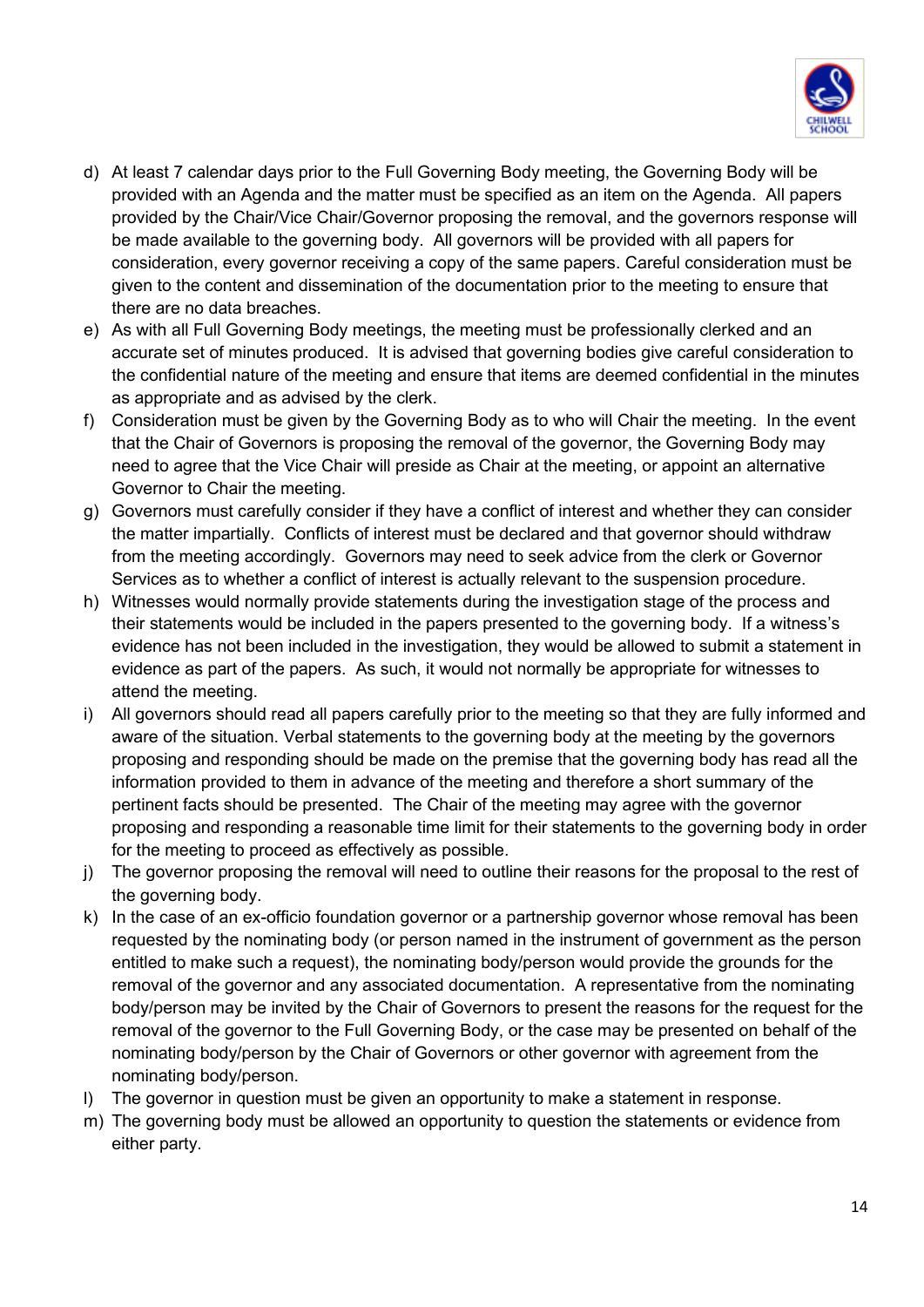

- d) At least 7 calendar days prior to the Full Governing Body meeting, the Governing Body will be provided with an Agenda and the matter must be specified as an item on the Agenda. All papers provided by the Chair/Vice Chair/Governor proposing the removal, and the governors response will be made available to the governing body. All governors will be provided with all papers for consideration, every governor receiving a copy of the same papers. Careful consideration must be given to the content and dissemination of the documentation prior to the meeting to ensure that there are no data breaches.
- e) As with all Full Governing Body meetings, the meeting must be professionally clerked and an accurate set of minutes produced. It is advised that governing bodies give careful consideration to the confidential nature of the meeting and ensure that items are deemed confidential in the minutes as appropriate and as advised by the clerk.
- f) Consideration must be given by the Governing Body as to who will Chair the meeting. In the event that the Chair of Governors is proposing the removal of the governor, the Governing Body may need to agree that the Vice Chair will preside as Chair at the meeting, or appoint an alternative Governor to Chair the meeting.
- g) Governors must carefully consider if they have a conflict of interest and whether they can consider the matter impartially. Conflicts of interest must be declared and that governor should withdraw from the meeting accordingly. Governors may need to seek advice from the clerk or Governor Services as to whether a conflict of interest is actually relevant to the suspension procedure.
- h) Witnesses would normally provide statements during the investigation stage of the process and their statements would be included in the papers presented to the governing body. If a witness's evidence has not been included in the investigation, they would be allowed to submit a statement in evidence as part of the papers. As such, it would not normally be appropriate for witnesses to attend the meeting.
- i) All governors should read all papers carefully prior to the meeting so that they are fully informed and aware of the situation. Verbal statements to the governing body at the meeting by the governors proposing and responding should be made on the premise that the governing body has read all the information provided to them in advance of the meeting and therefore a short summary of the pertinent facts should be presented. The Chair of the meeting may agree with the governor proposing and responding a reasonable time limit for their statements to the governing body in order for the meeting to proceed as effectively as possible.
- j) The governor proposing the removal will need to outline their reasons for the proposal to the rest of the governing body.
- k) In the case of an ex-officio foundation governor or a partnership governor whose removal has been requested by the nominating body (or person named in the instrument of government as the person entitled to make such a request), the nominating body/person would provide the grounds for the removal of the governor and any associated documentation. A representative from the nominating body/person may be invited by the Chair of Governors to present the reasons for the request for the removal of the governor to the Full Governing Body, or the case may be presented on behalf of the nominating body/person by the Chair of Governors or other governor with agreement from the nominating body/person.
- l) The governor in question must be given an opportunity to make a statement in response.
- m) The governing body must be allowed an opportunity to question the statements or evidence from either party.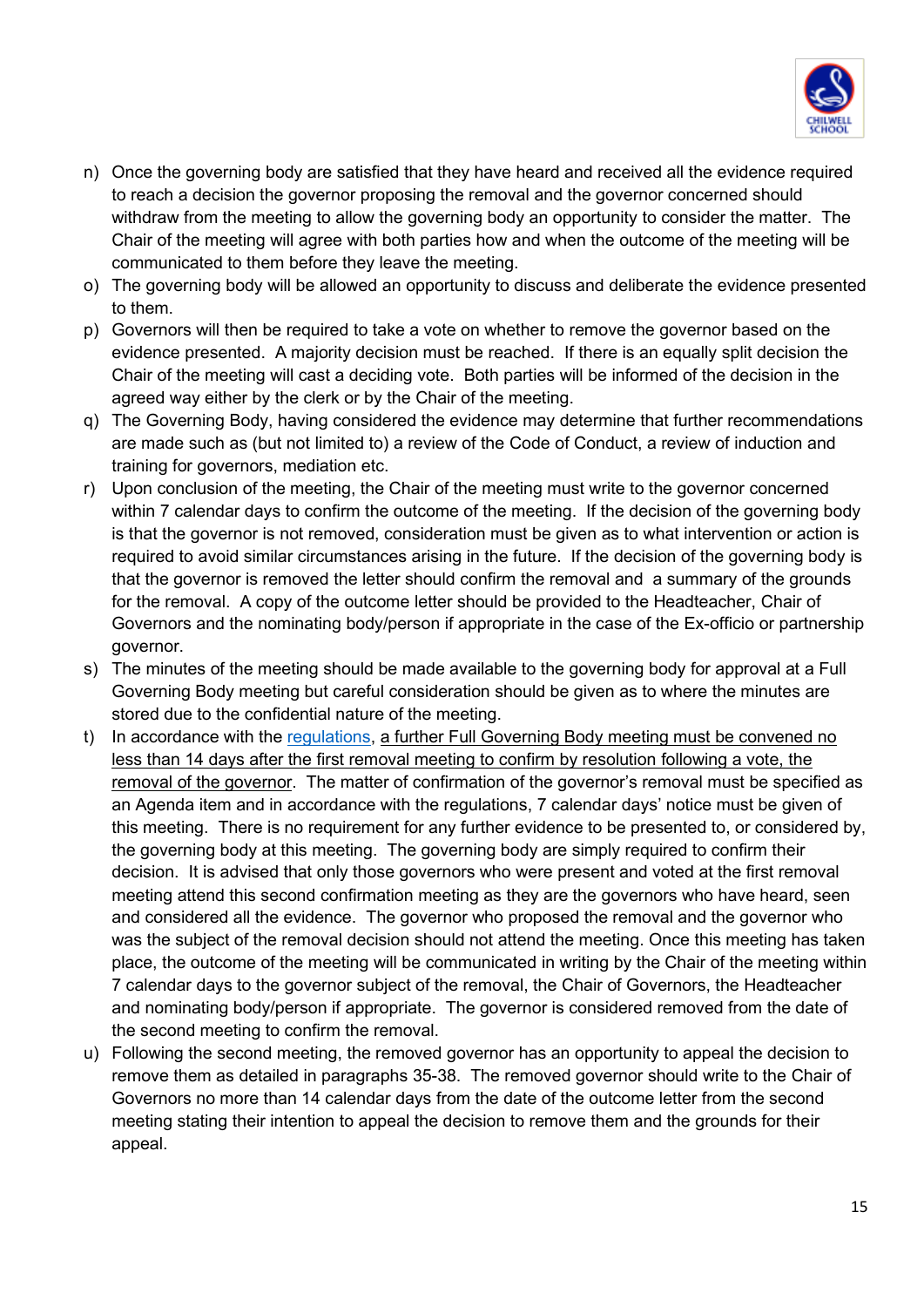

- n) Once the governing body are satisfied that they have heard and received all the evidence required to reach a decision the governor proposing the removal and the governor concerned should withdraw from the meeting to allow the governing body an opportunity to consider the matter. The Chair of the meeting will agree with both parties how and when the outcome of the meeting will be communicated to them before they leave the meeting.
- o) The governing body will be allowed an opportunity to discuss and deliberate the evidence presented to them.
- p) Governors will then be required to take a vote on whether to remove the governor based on the evidence presented. A majority decision must be reached. If there is an equally split decision the Chair of the meeting will cast a deciding vote. Both parties will be informed of the decision in the agreed way either by the clerk or by the Chair of the meeting.
- q) The Governing Body, having considered the evidence may determine that further recommendations are made such as (but not limited to) a review of the Code of Conduct, a review of induction and training for governors, mediation etc.
- r) Upon conclusion of the meeting, the Chair of the meeting must write to the governor concerned within 7 calendar days to confirm the outcome of the meeting. If the decision of the governing body is that the governor is not removed, consideration must be given as to what intervention or action is required to avoid similar circumstances arising in the future. If the decision of the governing body is that the governor is removed the letter should confirm the removal and a summary of the grounds for the removal. A copy of the outcome letter should be provided to the Headteacher, Chair of Governors and the nominating body/person if appropriate in the case of the Ex-officio or partnership governor.
- s) The minutes of the meeting should be made available to the governing body for approval at a Full Governing Body meeting but careful consideration should be given as to where the minutes are stored due to the confidential nature of the meeting.
- t) In accordance with the [regulations,](https://www.legislation.gov.uk/uksi/2012/1034/regulation/25/made) a further Full Governing Body meeting must be convened no less than 14 days after the first removal meeting to confirm by resolution following a vote, the removal of the governor. The matter of confirmation of the governor's removal must be specified as an Agenda item and in accordance with the regulations, 7 calendar days' notice must be given of this meeting. There is no requirement for any further evidence to be presented to, or considered by, the governing body at this meeting. The governing body are simply required to confirm their decision. It is advised that only those governors who were present and voted at the first removal meeting attend this second confirmation meeting as they are the governors who have heard, seen and considered all the evidence. The governor who proposed the removal and the governor who was the subject of the removal decision should not attend the meeting. Once this meeting has taken place, the outcome of the meeting will be communicated in writing by the Chair of the meeting within 7 calendar days to the governor subject of the removal, the Chair of Governors, the Headteacher and nominating body/person if appropriate. The governor is considered removed from the date of the second meeting to confirm the removal.
- u) Following the second meeting, the removed governor has an opportunity to appeal the decision to remove them as detailed in paragraphs 35-38. The removed governor should write to the Chair of Governors no more than 14 calendar days from the date of the outcome letter from the second meeting stating their intention to appeal the decision to remove them and the grounds for their appeal.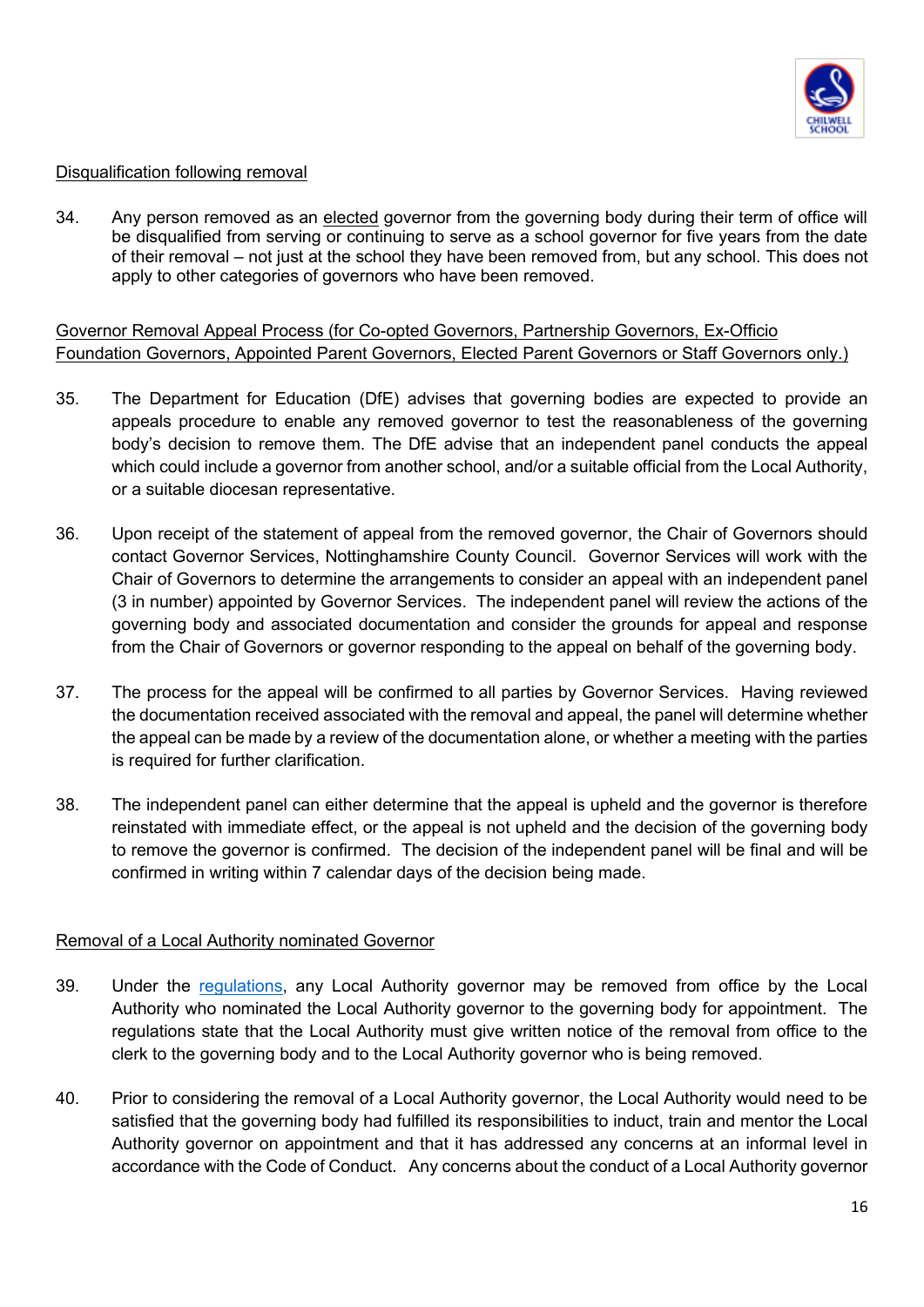

#### Disqualification following removal

34. Any person removed as an elected governor from the governing body during their term of office will be disqualified from serving or continuing to serve as a school governor for five years from the date of their removal – not just at the school they have been removed from, but any school. This does not apply to other categories of governors who have been removed.

Governor Removal Appeal Process (for Co-opted Governors, Partnership Governors, Ex-Officio Foundation Governors, Appointed Parent Governors, Elected Parent Governors or Staff Governors only.)

- 35. The Department for Education (DfE) advises that governing bodies are expected to provide an appeals procedure to enable any removed governor to test the reasonableness of the governing body's decision to remove them. The DfE advise that an independent panel conducts the appeal which could include a governor from another school, and/or a suitable official from the Local Authority, or a suitable diocesan representative.
- 36. Upon receipt of the statement of appeal from the removed governor, the Chair of Governors should contact Governor Services, Nottinghamshire County Council. Governor Services will work with the Chair of Governors to determine the arrangements to consider an appeal with an independent panel (3 in number) appointed by Governor Services. The independent panel will review the actions of the governing body and associated documentation and consider the grounds for appeal and response from the Chair of Governors or governor responding to the appeal on behalf of the governing body.
- 37. The process for the appeal will be confirmed to all parties by Governor Services. Having reviewed the documentation received associated with the removal and appeal, the panel will determine whether the appeal can be made by a review of the documentation alone, or whether a meeting with the parties is required for further clarification.
- 38. The independent panel can either determine that the appeal is upheld and the governor is therefore reinstated with immediate effect, or the appeal is not upheld and the decision of the governing body to remove the governor is confirmed. The decision of the independent panel will be final and will be confirmed in writing within 7 calendar days of the decision being made.

#### Removal of a Local Authority nominated Governor

- 39. Under the [regulations,](https://www.legislation.gov.uk/uksi/2012/1034/regulation/22/made) any Local Authority governor may be removed from office by the Local Authority who nominated the Local Authority governor to the governing body for appointment. The regulations state that the Local Authority must give written notice of the removal from office to the clerk to the governing body and to the Local Authority governor who is being removed.
- 40. Prior to considering the removal of a Local Authority governor, the Local Authority would need to be satisfied that the governing body had fulfilled its responsibilities to induct, train and mentor the Local Authority governor on appointment and that it has addressed any concerns at an informal level in accordance with the Code of Conduct. Any concerns about the conduct of a Local Authority governor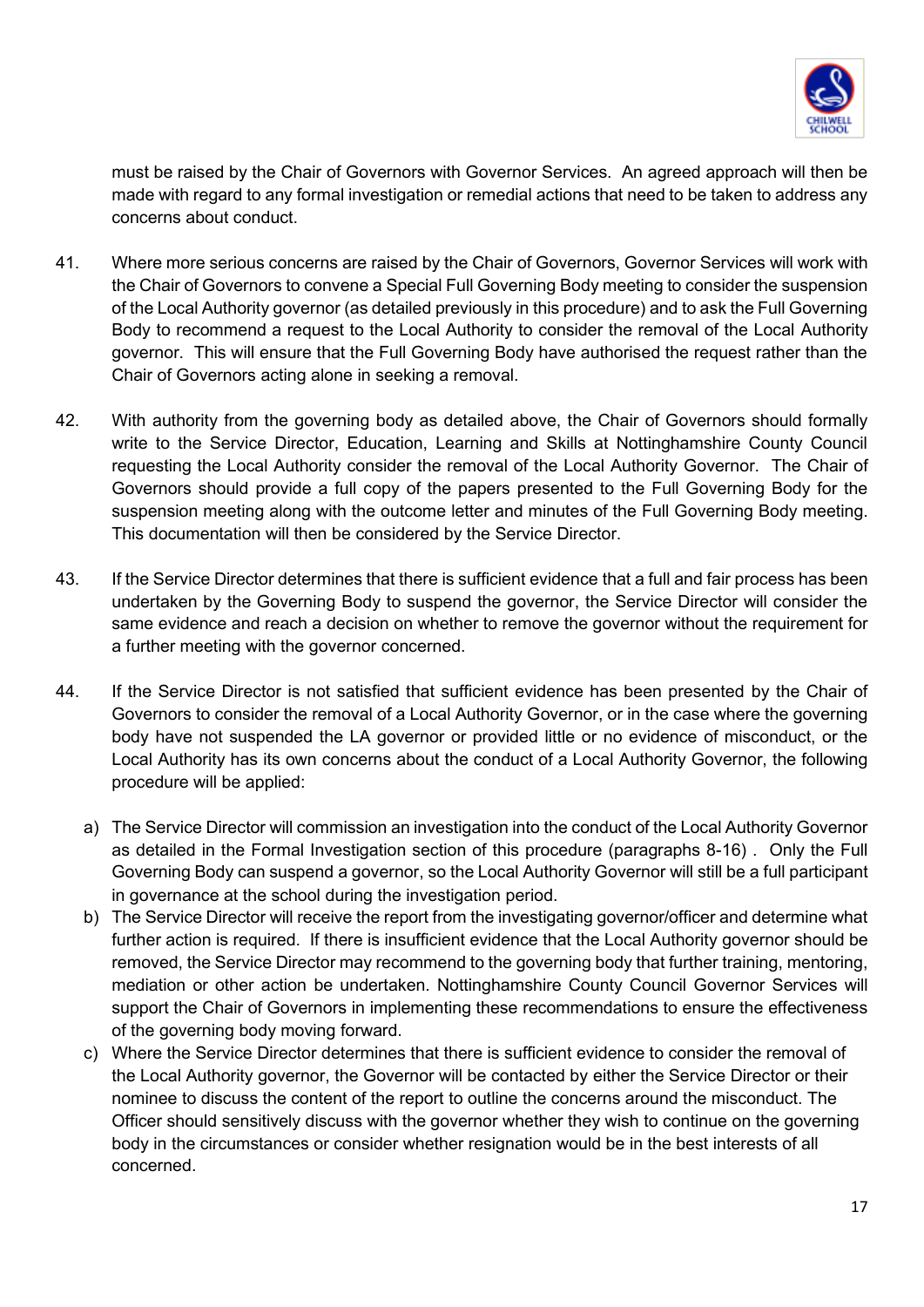

must be raised by the Chair of Governors with Governor Services. An agreed approach will then be made with regard to any formal investigation or remedial actions that need to be taken to address any concerns about conduct.

- 41. Where more serious concerns are raised by the Chair of Governors, Governor Services will work with the Chair of Governors to convene a Special Full Governing Body meeting to consider the suspension of the Local Authority governor (as detailed previously in this procedure) and to ask the Full Governing Body to recommend a request to the Local Authority to consider the removal of the Local Authority governor. This will ensure that the Full Governing Body have authorised the request rather than the Chair of Governors acting alone in seeking a removal.
- 42. With authority from the governing body as detailed above, the Chair of Governors should formally write to the Service Director, Education, Learning and Skills at Nottinghamshire County Council requesting the Local Authority consider the removal of the Local Authority Governor. The Chair of Governors should provide a full copy of the papers presented to the Full Governing Body for the suspension meeting along with the outcome letter and minutes of the Full Governing Body meeting. This documentation will then be considered by the Service Director.
- 43. If the Service Director determines that there is sufficient evidence that a full and fair process has been undertaken by the Governing Body to suspend the governor, the Service Director will consider the same evidence and reach a decision on whether to remove the governor without the requirement for a further meeting with the governor concerned.
- 44. If the Service Director is not satisfied that sufficient evidence has been presented by the Chair of Governors to consider the removal of a Local Authority Governor, or in the case where the governing body have not suspended the LA governor or provided little or no evidence of misconduct, or the Local Authority has its own concerns about the conduct of a Local Authority Governor, the following procedure will be applied:
	- a) The Service Director will commission an investigation into the conduct of the Local Authority Governor as detailed in the Formal Investigation section of this procedure (paragraphs 8-16) . Only the Full Governing Body can suspend a governor, so the Local Authority Governor will still be a full participant in governance at the school during the investigation period.
	- b) The Service Director will receive the report from the investigating governor/officer and determine what further action is required. If there is insufficient evidence that the Local Authority governor should be removed, the Service Director may recommend to the governing body that further training, mentoring, mediation or other action be undertaken. Nottinghamshire County Council Governor Services will support the Chair of Governors in implementing these recommendations to ensure the effectiveness of the governing body moving forward.
	- c) Where the Service Director determines that there is sufficient evidence to consider the removal of the Local Authority governor, the Governor will be contacted by either the Service Director or their nominee to discuss the content of the report to outline the concerns around the misconduct. The Officer should sensitively discuss with the governor whether they wish to continue on the governing body in the circumstances or consider whether resignation would be in the best interests of all concerned.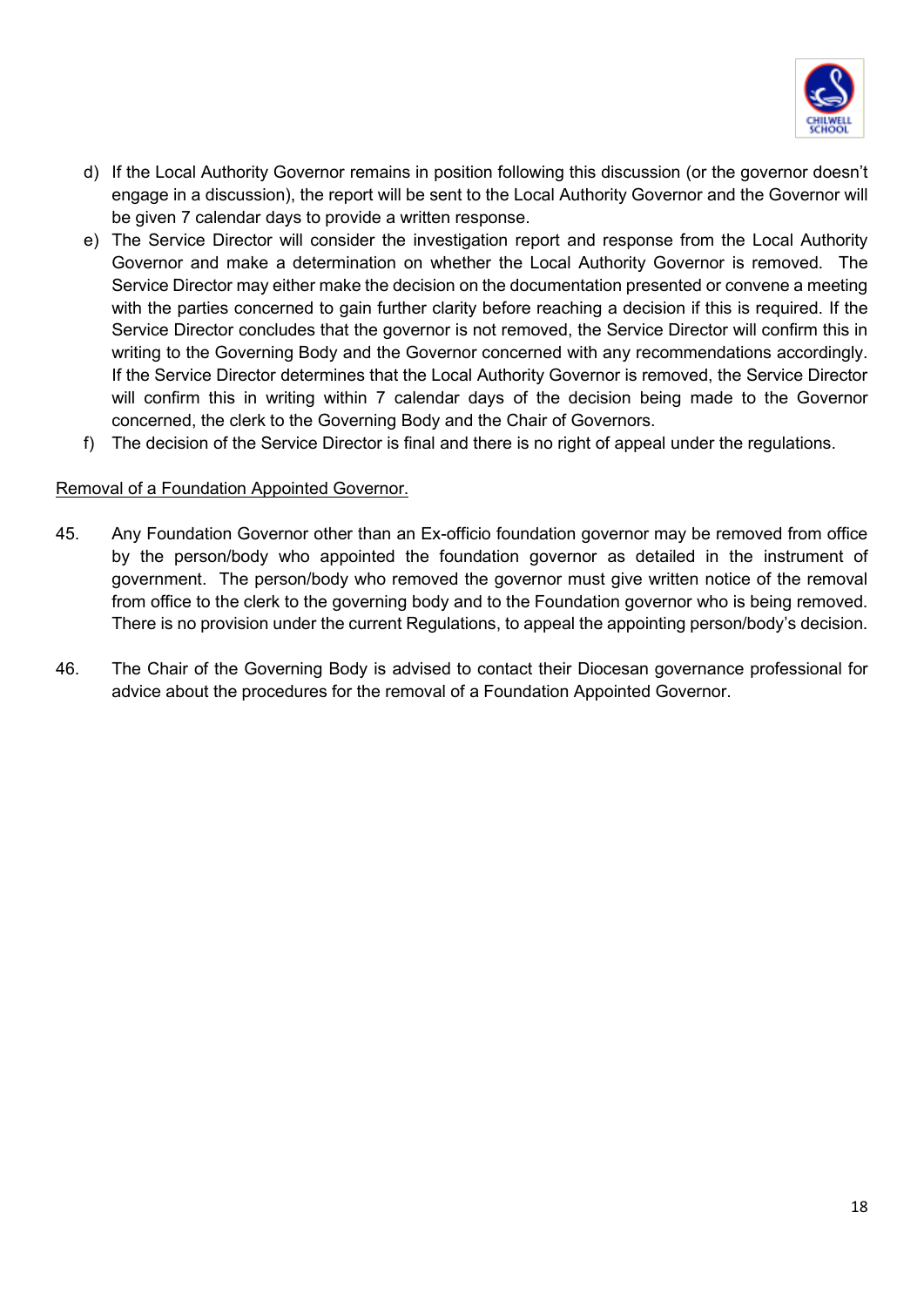

- d) If the Local Authority Governor remains in position following this discussion (or the governor doesn't engage in a discussion), the report will be sent to the Local Authority Governor and the Governor will be given 7 calendar days to provide a written response.
- e) The Service Director will consider the investigation report and response from the Local Authority Governor and make a determination on whether the Local Authority Governor is removed. The Service Director may either make the decision on the documentation presented or convene a meeting with the parties concerned to gain further clarity before reaching a decision if this is required. If the Service Director concludes that the governor is not removed, the Service Director will confirm this in writing to the Governing Body and the Governor concerned with any recommendations accordingly. If the Service Director determines that the Local Authority Governor is removed, the Service Director will confirm this in writing within 7 calendar days of the decision being made to the Governor concerned, the clerk to the Governing Body and the Chair of Governors.
- f) The decision of the Service Director is final and there is no right of appeal under the regulations.

#### Removal of a Foundation Appointed Governor.

- 45. Any Foundation Governor other than an Ex-officio foundation governor may be removed from office by the person/body who appointed the foundation governor as detailed in the instrument of government. The person/body who removed the governor must give written notice of the removal from office to the clerk to the governing body and to the Foundation governor who is being removed. There is no provision under the current Regulations, to appeal the appointing person/body's decision.
- 46. The Chair of the Governing Body is advised to contact their Diocesan governance professional for advice about the procedures for the removal of a Foundation Appointed Governor.